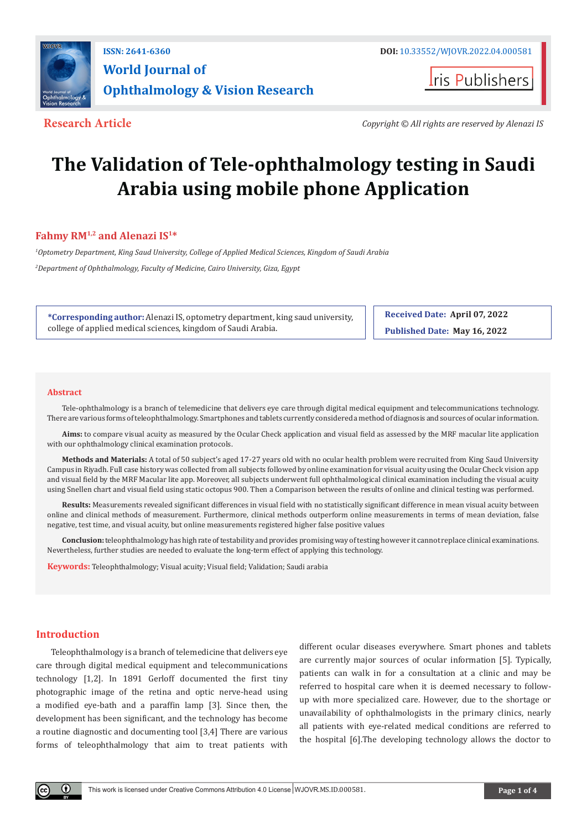

**I**ris Publishers

**Research Article** *Copyright © All rights are reserved by Alenazi IS*

# **The Validation of Tele-ophthalmology testing in Saudi Arabia using mobile phone Application**

# **Fahmy RM1,2 and Alenazi IS1\***

*1 Optometry Department, King Saud University, College of Applied Medical Sciences, Kingdom of Saudi Arabia 2 Department of Ophthalmology, Faculty of Medicine, Cairo University, Giza, Egypt*

**\*Corresponding author:** Alenazi IS, optometry department, king saud university, college of applied medical sciences, kingdom of Saudi Arabia.

**Received Date: April 07, 2022 Published Date: May 16, 2022**

#### **Abstract**

Tele-ophthalmology is a branch of telemedicine that delivers eye care through digital medical equipment and telecommunications technology. There are various forms of teleophthalmology. Smartphones and tablets currently considered a method of diagnosis and sources of ocular information.

**Aims:** to compare visual acuity as measured by the Ocular Check application and visual field as assessed by the MRF macular lite application with our ophthalmology clinical examination protocols.

**Methods and Materials:** A total of 50 subject's aged 17-27 years old with no ocular health problem were recruited from King Saud University Campus in Riyadh. Full case history was collected from all subjects followed by online examination for visual acuity using the Ocular Check vision app and visual field by the MRF Macular lite app. Moreover, all subjects underwent full ophthalmological clinical examination including the visual acuity using Snellen chart and visual field using static octopus 900. Then a Comparison between the results of online and clinical testing was performed.

**Results:** Measurements revealed significant differences in visual field with no statistically significant difference in mean visual acuity between online and clinical methods of measurement. Furthermore, clinical methods outperform online measurements in terms of mean deviation, false negative, test time, and visual acuity, but online measurements registered higher false positive values

**Conclusion:** teleophthalmology has high rate of testability and provides promising way of testing however it cannot replace clinical examinations. Nevertheless, further studies are needed to evaluate the long-term effect of applying this technology.

**Keywords:** Teleophthalmology; Visual acuity; Visual field; Validation; Saudi arabia

## **Introduction**

Teleophthalmology is a branch of telemedicine that delivers eye care through digital medical equipment and telecommunications technology [1,2]. In 1891 Gerloff documented the first tiny photographic image of the retina and optic nerve-head using a modified eye-bath and a paraffin lamp [3]. Since then, the development has been significant, and the technology has become a routine diagnostic and documenting tool [3,4] There are various forms of teleophthalmology that aim to treat patients with different ocular diseases everywhere. Smart phones and tablets are currently major sources of ocular information [5]. Typically, patients can walk in for a consultation at a clinic and may be referred to hospital care when it is deemed necessary to followup with more specialized care. However, due to the shortage or unavailability of ophthalmologists in the primary clinics, nearly all patients with eye-related medical conditions are referred to the hospital [6].The developing technology allows the doctor to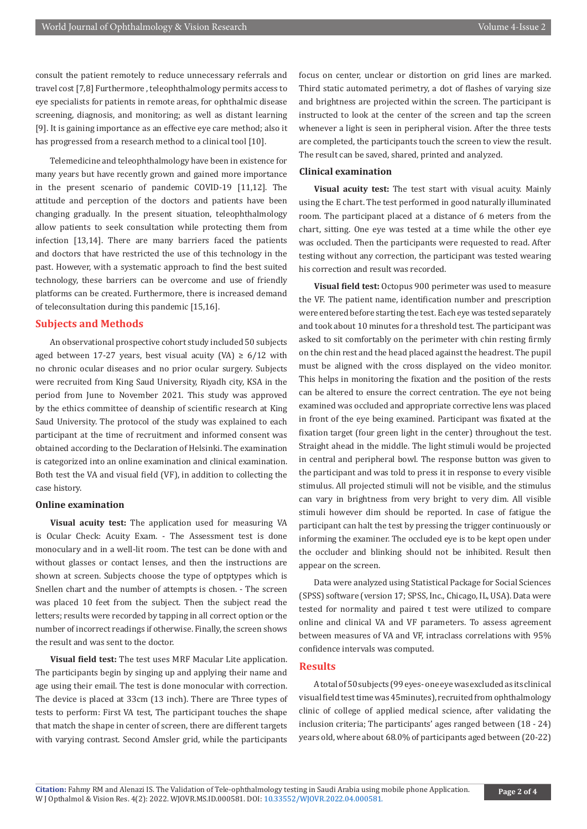consult the patient remotely to reduce unnecessary referrals and travel cost [7,8] Furthermore , teleophthalmology permits access to eye specialists for patients in remote areas, for ophthalmic disease screening, diagnosis, and monitoring; as well as distant learning [9]. It is gaining importance as an effective eye care method; also it has progressed from a research method to a clinical tool [10].

Telemedicine and teleophthalmology have been in existence for many years but have recently grown and gained more importance in the present scenario of pandemic COVID-19 [11,12]. The attitude and perception of the doctors and patients have been changing gradually. In the present situation, teleophthalmology allow patients to seek consultation while protecting them from infection [13,14]. There are many barriers faced the patients and doctors that have restricted the use of this technology in the past. However, with a systematic approach to find the best suited technology, these barriers can be overcome and use of friendly platforms can be created. Furthermore, there is increased demand of teleconsultation during this pandemic [15,16].

#### **Subjects and Methods**

An observational prospective cohort study included 50 subjects aged between 17-27 years, best visual acuity (VA)  $\geq 6/12$  with no chronic ocular diseases and no prior ocular surgery. Subjects were recruited from King Saud University, Riyadh city, KSA in the period from June to November 2021. This study was approved by the ethics committee of deanship of scientific research at King Saud University. The protocol of the study was explained to each participant at the time of recruitment and informed consent was obtained according to the Declaration of Helsinki. The examination is categorized into an online examination and clinical examination. Both test the VA and visual field (VF), in addition to collecting the case history.

#### **Online examination**

**Visual acuity test:** The application used for measuring VA is Ocular Check: Acuity Exam. - The Assessment test is done monoculary and in a well-lit room. The test can be done with and without glasses or contact lenses, and then the instructions are shown at screen. Subjects choose the type of optptypes which is Snellen chart and the number of attempts is chosen. - The screen was placed 10 feet from the subject. Then the subject read the letters; results were recorded by tapping in all correct option or the number of incorrect readings if otherwise. Finally, the screen shows the result and was sent to the doctor.

**Visual field test:** The test uses MRF Macular Lite application. The participants begin by singing up and applying their name and age using their email. The test is done monocular with correction. The device is placed at 33cm (13 inch). There are Three types of tests to perform: First VA test, The participant touches the shape that match the shape in center of screen, there are different targets with varying contrast. Second Amsler grid, while the participants

focus on center, unclear or distortion on grid lines are marked. Third static automated perimetry, a dot of flashes of varying size and brightness are projected within the screen. The participant is instructed to look at the center of the screen and tap the screen whenever a light is seen in peripheral vision. After the three tests are completed, the participants touch the screen to view the result. The result can be saved, shared, printed and analyzed.

#### **Clinical examination**

**Visual acuity test:** The test start with visual acuity. Mainly using the E chart. The test performed in good naturally illuminated room. The participant placed at a distance of 6 meters from the chart, sitting. One eye was tested at a time while the other eye was occluded. Then the participants were requested to read. After testing without any correction, the participant was tested wearing his correction and result was recorded.

**Visual field test:** Octopus 900 perimeter was used to measure the VF. The patient name, identification number and prescription were entered before starting the test. Each eye was tested separately and took about 10 minutes for a threshold test. The participant was asked to sit comfortably on the perimeter with chin resting firmly on the chin rest and the head placed against the headrest. The pupil must be aligned with the cross displayed on the video monitor. This helps in monitoring the fixation and the position of the rests can be altered to ensure the correct centration. The eye not being examined was occluded and appropriate corrective lens was placed in front of the eye being examined. Participant was fixated at the fixation target (four green light in the center) throughout the test. Straight ahead in the middle. The light stimuli would be projected in central and peripheral bowl. The response button was given to the participant and was told to press it in response to every visible stimulus. All projected stimuli will not be visible, and the stimulus can vary in brightness from very bright to very dim. All visible stimuli however dim should be reported. In case of fatigue the participant can halt the test by pressing the trigger continuously or informing the examiner. The occluded eye is to be kept open under the occluder and blinking should not be inhibited. Result then appear on the screen.

Data were analyzed using Statistical Package for Social Sciences (SPSS) software (version 17; SPSS, Inc., Chicago, IL, USA). Data were tested for normality and paired t test were utilized to compare online and clinical VA and VF parameters. To assess agreement between measures of VA and VF, intraclass correlations with 95% confidence intervals was computed.

#### **Results**

A total of 50 subjects (99 eyes- one eye was excluded as its clinical visual field test time was 45minutes), recruited from ophthalmology clinic of college of applied medical science, after validating the inclusion criteria; The participants' ages ranged between (18 - 24) years old, where about 68.0% of participants aged between (20-22)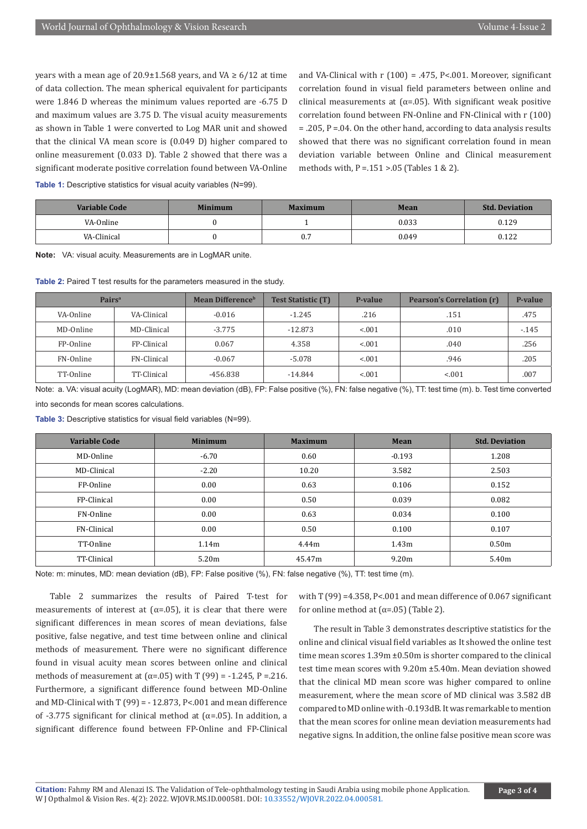years with a mean age of  $20.9\pm1.568$  years, and VA  $\geq 6/12$  at time of data collection. The mean spherical equivalent for participants were 1.846 D whereas the minimum values reported are -6.75 D and maximum values are 3.75 D. The visual acuity measurements as shown in Table 1 were converted to Log MAR unit and showed that the clinical VA mean score is (0.049 D) higher compared to online measurement (0.033 D). Table 2 showed that there was a significant moderate positive correlation found between VA-Online **Table 1:** Descriptive statistics for visual acuity variables (N=99).

and VA-Clinical with r (100) = .475, P<.001. Moreover, significant correlation found in visual field parameters between online and clinical measurements at ( $\alpha$ =.05). With significant weak positive correlation found between FN-Online and FN-Clinical with r (100) = .205, P =.04. On the other hand, according to data analysis results showed that there was no significant correlation found in mean deviation variable between Online and Clinical measurement methods with,  $P = 151 > 05$  (Tables 1 & 2).

**Variable Code Minimum Maximum Mean Std. Deviation** VA-Online (1, 0,033 0.129 ) 0.033 0.129 VA-Clinical (1992) 0 0.7 0.049 0.049 0.122

**Note:** VA: visual acuity. Measurements are in LogMAR unite.

Table 2: Paired T test results for the parameters measured in the study.

| Pairs <sup>a</sup> |             | <b>Mean Difference</b> <sup>b</sup> | <b>Test Statistic (T)</b> | P-value | <b>Pearson's Correlation (r)</b> | P-value  |
|--------------------|-------------|-------------------------------------|---------------------------|---------|----------------------------------|----------|
| VA-Online          | VA-Clinical | $-0.016$                            | $-1.245$                  | .216    | .151                             | .475     |
| MD-Online          | MD-Clinical | $-3.775$                            | $-12.873$                 | < 0.01  | .010                             | $-0.145$ |
| FP-Online          | FP-Clinical | 0.067                               | 4.358                     | < 0.01  | .040                             | .256     |
| FN-Online          | FN-Clinical | $-0.067$                            | $-5.078$                  | < 0.01  | .946                             | .205     |
| TT-Online          | TT-Clinical | -456.838                            | $-14.844$                 | < 0.01  | < 0.01                           | .007     |

Note: a. VA: visual acuity (LogMAR), MD: mean deviation (dB), FP: False positive (%), FN: false negative (%), TT: test time (m). b. Test time converted into seconds for mean scores calculations.

**Table 3:** Descriptive statistics for visual field variables (N=99).

| Variable Code | <b>Minimum</b> | <b>Maximum</b> | Mean              | <b>Std. Deviation</b> |
|---------------|----------------|----------------|-------------------|-----------------------|
| MD-Online     | $-6.70$        | 0.60           | $-0.193$          | 1.208                 |
| MD-Clinical   | $-2.20$        | 10.20          | 3.582             | 2.503                 |
| FP-Online     | 0.00           | 0.63           | 0.106             | 0.152                 |
| FP-Clinical   | 0.00           | 0.50           | 0.039             | 0.082                 |
| FN-Online     | 0.00           | 0.63           | 0.034             | 0.100                 |
| FN-Clinical   | 0.00           | 0.50           | 0.100             | 0.107                 |
| TT-Online     | 1.14m          | 4.44m          | 1.43m             | 0.50 <sub>m</sub>     |
| TT-Clinical   | 5.20m          | 45.47m         | 9.20 <sub>m</sub> | 5.40m                 |

Note: m: minutes, MD: mean deviation (dB), FP: False positive (%), FN: false negative (%), TT: test time (m).

Table 2 summarizes the results of Paired T-test for measurements of interest at ( $\alpha$ =.05), it is clear that there were significant differences in mean scores of mean deviations, false positive, false negative, and test time between online and clinical methods of measurement. There were no significant difference found in visual acuity mean scores between online and clinical methods of measurement at (α=.05) with T (99) = -1.245, P = 216. Furthermore, a significant difference found between MD-Online and MD-Clinical with T  $(99) = -12.873$ , P<.001 and mean difference of -3.775 significant for clinical method at (α=.05). In addition, a significant difference found between FP-Online and FP-Clinical

with T (99) =4.358, P<.001 and mean difference of 0.067 significant for online method at  $(\alpha = .05)$  (Table 2).

The result in Table 3 demonstrates descriptive statistics for the online and clinical visual field variables as It showed the online test time mean scores 1.39m ±0.50m is shorter compared to the clinical test time mean scores with 9.20m ±5.40m. Mean deviation showed that the clinical MD mean score was higher compared to online measurement, where the mean score of MD clinical was 3.582 dB compared to MD online with -0.193dB. It was remarkable to mention that the mean scores for online mean deviation measurements had negative signs. In addition, the online false positive mean score was